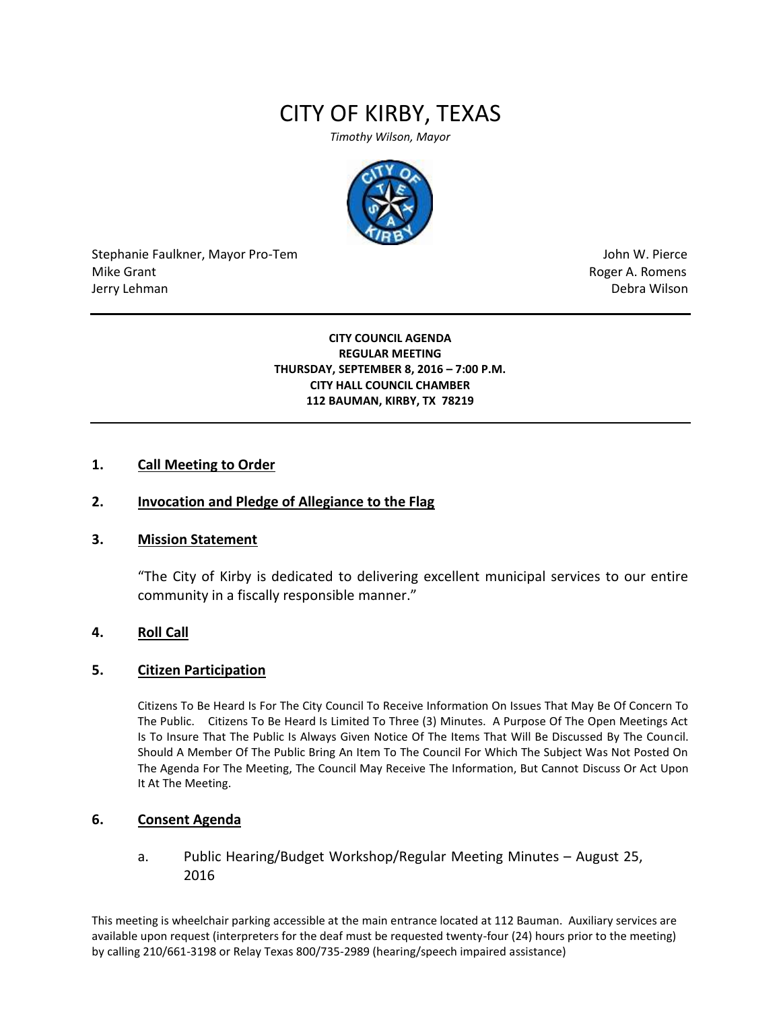# CITY OF KIRBY, TEXAS

*Timothy Wilson, Mayor*



Stephanie Faulkner, Mayor Pro-Tem John W. Pierce Mike Grant **Mike Grant** Roger A. Romens **Contract A. Romens Roger A. Romens** Jerry Lehman Debra Wilson (2008) and the state of the state of the state of the state of the state of the state of the state of the state of the state of the state of the state of the state of the state of the state of the

### **CITY COUNCIL AGENDA REGULAR MEETING THURSDAY, SEPTEMBER 8, 2016 – 7:00 P.M. CITY HALL COUNCIL CHAMBER 112 BAUMAN, KIRBY, TX 78219**

# **1. Call Meeting to Order**

# **2. Invocation and Pledge of Allegiance to the Flag**

### **3. Mission Statement**

"The City of Kirby is dedicated to delivering excellent municipal services to our entire community in a fiscally responsible manner."

## **4. Roll Call**

### **5. Citizen Participation**

Citizens To Be Heard Is For The City Council To Receive Information On Issues That May Be Of Concern To The Public. Citizens To Be Heard Is Limited To Three (3) Minutes. A Purpose Of The Open Meetings Act Is To Insure That The Public Is Always Given Notice Of The Items That Will Be Discussed By The Council. Should A Member Of The Public Bring An Item To The Council For Which The Subject Was Not Posted On The Agenda For The Meeting, The Council May Receive The Information, But Cannot Discuss Or Act Upon It At The Meeting.

# **6. Consent Agenda**

a. Public Hearing/Budget Workshop/Regular Meeting Minutes – August 25, 2016

This meeting is wheelchair parking accessible at the main entrance located at 112 Bauman. Auxiliary services are available upon request (interpreters for the deaf must be requested twenty-four (24) hours prior to the meeting) by calling 210/661-3198 or Relay Texas 800/735-2989 (hearing/speech impaired assistance)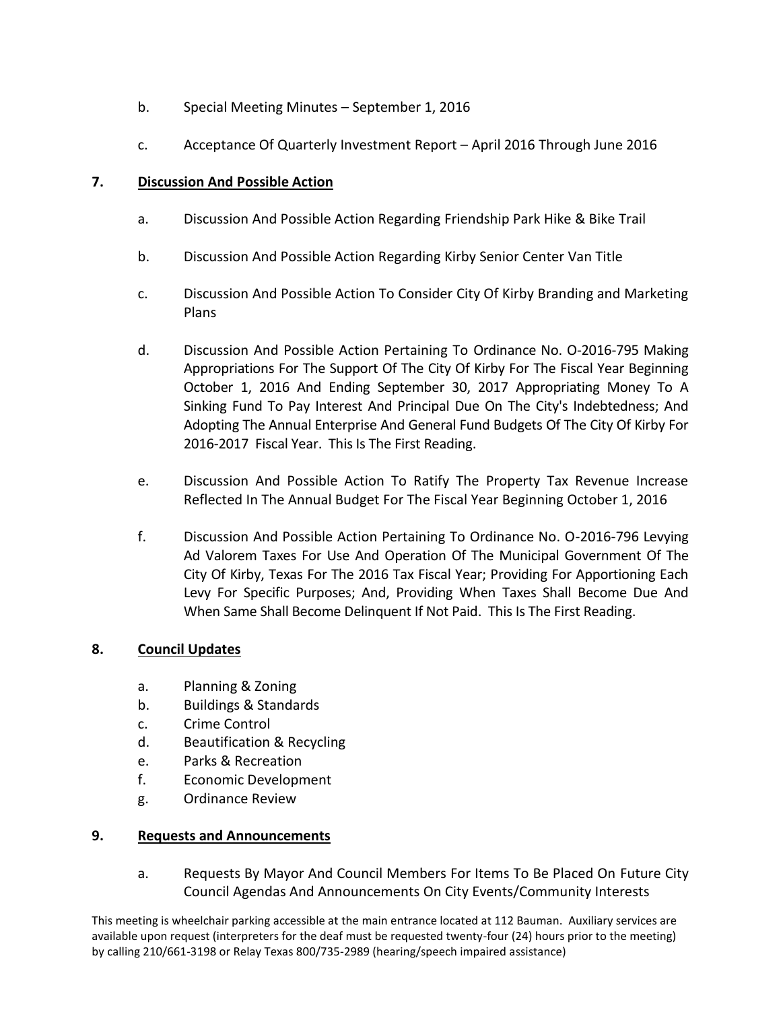- b. Special Meeting Minutes September 1, 2016
- c. Acceptance Of Quarterly Investment Report April 2016 Through June 2016

# **7. Discussion And Possible Action**

- a. Discussion And Possible Action Regarding Friendship Park Hike & Bike Trail
- b. Discussion And Possible Action Regarding Kirby Senior Center Van Title
- c. Discussion And Possible Action To Consider City Of Kirby Branding and Marketing Plans
- d. Discussion And Possible Action Pertaining To Ordinance No. O-2016-795 Making Appropriations For The Support Of The City Of Kirby For The Fiscal Year Beginning October 1, 2016 And Ending September 30, 2017 Appropriating Money To A Sinking Fund To Pay Interest And Principal Due On The City's Indebtedness; And Adopting The Annual Enterprise And General Fund Budgets Of The City Of Kirby For 2016-2017 Fiscal Year. This Is The First Reading.
- e. Discussion And Possible Action To Ratify The Property Tax Revenue Increase Reflected In The Annual Budget For The Fiscal Year Beginning October 1, 2016
- f. Discussion And Possible Action Pertaining To Ordinance No. O-2016-796 Levying Ad Valorem Taxes For Use And Operation Of The Municipal Government Of The City Of Kirby, Texas For The 2016 Tax Fiscal Year; Providing For Apportioning Each Levy For Specific Purposes; And, Providing When Taxes Shall Become Due And When Same Shall Become Delinquent If Not Paid. This Is The First Reading.

# **8. Council Updates**

- a. Planning & Zoning
- b. Buildings & Standards
- c. Crime Control
- d. Beautification & Recycling
- e. Parks & Recreation
- f. Economic Development
- g. Ordinance Review

# **9. Requests and Announcements**

a. Requests By Mayor And Council Members For Items To Be Placed On Future City Council Agendas And Announcements On City Events/Community Interests

This meeting is wheelchair parking accessible at the main entrance located at 112 Bauman. Auxiliary services are available upon request (interpreters for the deaf must be requested twenty-four (24) hours prior to the meeting) by calling 210/661-3198 or Relay Texas 800/735-2989 (hearing/speech impaired assistance)